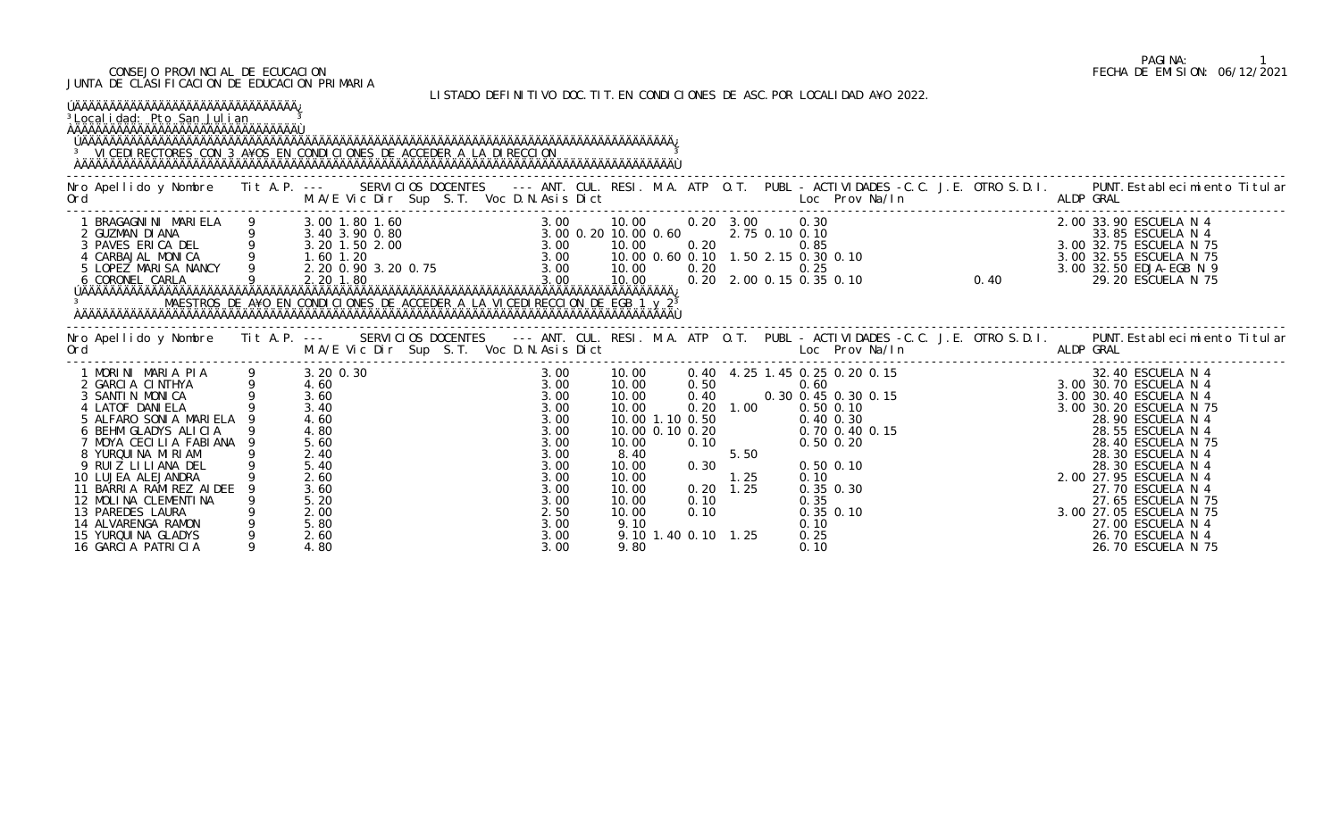## CONSEJO PROVINCIAL DE ECUCACION FECHA DE EMISION: 06/12/2021 JUNTA DE CLASIFICACION DE EDUCACION PRIMARIA

LISTADO DEFINITIVO DOC.TIT.EN CONDICIONES DE ASC.POR LOCALIDAD A¥O 2022.

| <sup>3</sup> Local i dad: Pto San Julian<br>ÀÄÄÄÄÄÄÄÄÄÄÄÄÄÄÄÄÄÄÄÄÄÄÄÄÄÄÄÄÄÄÄÄÄ<br><sup>3</sup> VICEDI RECTORES CON 3 A¥OS EN CONDICIONES DE ACCEDER A LA DIRECCION                                                                                                                                                           |                                                                                                                   |  |                                                                                                              |                                                   |                                     |      |                      |                                       | LIJIADU DELINITIVU DUG. ILI. LN GUNDIGIUNEJ DE AJG. FUN EUGALIDAD A‡U ZUZZ. |  |                                                                                                                                                                                                                                                                                                                                                                                                                                                   |
|------------------------------------------------------------------------------------------------------------------------------------------------------------------------------------------------------------------------------------------------------------------------------------------------------------------------------|-------------------------------------------------------------------------------------------------------------------|--|--------------------------------------------------------------------------------------------------------------|---------------------------------------------------|-------------------------------------|------|----------------------|---------------------------------------|-----------------------------------------------------------------------------|--|---------------------------------------------------------------------------------------------------------------------------------------------------------------------------------------------------------------------------------------------------------------------------------------------------------------------------------------------------------------------------------------------------------------------------------------------------|
| Ord<br>$\mathcal{L}(\mathcal{L})$ and $\mathcal{L}(\mathcal{L})$ and $\mathcal{L}(\mathcal{L})$ and $\mathcal{L}(\mathcal{L})$ and $\mathcal{L}(\mathcal{L})$                                                                                                                                                                |                                                                                                                   |  |                                                                                                              |                                                   |                                     |      |                      |                                       |                                                                             |  | Nro Apellido y Nombre Tit A.P. --- SERVICIOS DOCENTES --- ANT. CUL. RESI. M.A. ATP O.T. PUBL - ACTIVIDADES -C.C. J.E. OTRO S.D.I. PUNT. Establecimiento Titular                                                                                                                                                                                                                                                                                   |
| 1 BRAGAGNINI MARIELA 9 3.00 1.80 1.60 3.00 10.00 0.20 3.00 0.20 3.00 0.30 2.00 33.90 ESCUELA N 4<br>2 GUZMAN DIANA 9 3.40 3.90 0.80 3.00 0.20 10.00 0.60 2.75 0.10 0.10<br>3 PAVES ERICA DEL 9 3.20 1.60 3.00 3.00 10.00 0.60 2.75<br>MAESTROS DE A¥O EN CONDICIONES DE ACCEDER A LA VICEDIRECCION DE EGB 1 y 2 <sup>3</sup> |                                                                                                                   |  |                                                                                                              |                                                   |                                     |      |                      |                                       |                                                                             |  |                                                                                                                                                                                                                                                                                                                                                                                                                                                   |
|                                                                                                                                                                                                                                                                                                                              |                                                                                                                   |  |                                                                                                              |                                                   |                                     |      |                      |                                       |                                                                             |  | Nro Apellido y Nombre Tit A.P. --- SERVICIOS DOCENTES --- ANT. CUL. RESI. M.A. ATP O.T. PUBL -ACTIVIDADES -C.C. J.E. OTRO S.D.I. PUNT.Establecimiento Titular<br>Ord M.A/E Vic Dir Sup S.T. Voc D.N.Asis Dict Loc Prov Na/In ALDP                                                                                                                                                                                                                 |
| 1 MORINI MARIA PIA<br>2 GARCIA CINTHYA<br>3 SANTIN MONICA<br>4 LATOF DANIELA<br>5 ALFARO SONIA MARIELA<br>6 BEHM GLADYS ALICIA<br>7 MOYA CECILIA FABIANA 9<br>8 YURQUINA MIRIAM<br>9 RUIZ LILIANA DEL<br>10 LUJEA ALEJANDRA<br>11 BARRIA RAMIREZ AIDEE<br>12 MOLINA CLEMENTINA<br>13 PAREDES LAURA<br>14 ALVARENGA RAMON     | 3.20 0.30<br>4.60<br>3.60<br>3.40<br>4.60<br>4.80<br>5.60<br>2.40<br>5.40<br>2.60<br>3.60<br>5.20<br>2.00<br>5.80 |  | 3.00<br>3.00<br>3.00<br>3.00<br>3.00<br>3.00<br>3.00<br>3.00<br>3.00<br>3.00<br>3.00<br>3.00<br>2.50<br>3.00 | 10.00<br>10.00<br>10.00<br>10.00<br>10.00<br>9.10 | 0.30<br>$0.20$ 1.25<br>0.10<br>0.10 | 1.25 | 0.10<br>0.35<br>0.10 | 0.50 0.10<br>0.35 0.30<br>$0.35$ 0.10 |                                                                             |  | $\begin{array}{cccccccccccc} 10.00 & 0.40 & 4.25 & 1.45 & 0.25 & 0.20 & 0.15 & 32.40 & \text{ESUELA N 4} \\ 10.00 & 0.50 & 0.40 & 0.30 & 0.45 & 0.30 & 0.15 & 3.00 & 30.70 & \text{ESUELA N 4} \\ 10.00 & 0.40 & 0.30 & 0.45 & 0.30 & 0.15 & 3.00 & 30.40 & \text{ESUELA N 4} \\ 10.00 & 0.20 & 1.00 &$<br>28.30 ESCUELA N 4<br>2.00 27.95 ESCUELA N 4<br>27.70 ESCUELA N 4<br>27.65 ESCUELA N 75<br>3.00 27.05 ESCUELA N 75<br>27.00 ESCUELA N 4 |

## PAGINA: 1<br>FECHA DE EMISION: 06/12/2021